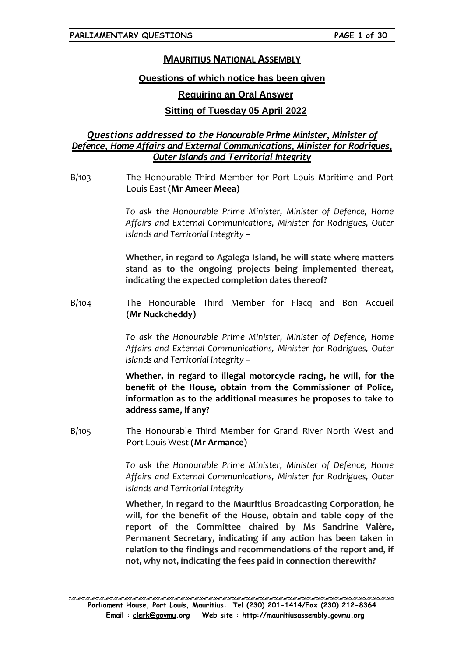# **MAURITIUS NATIONAL ASSEMBLY**

### **Questions of which notice has been given**

## **Requiring an Oral Answer**

## **Sitting of Tuesday 05 April 2022**

## *Questions addressed to the Honourable Prime Minister, Minister of Defence, Home Affairs and External Communications, Minister for Rodrigues, Outer Islands and Territorial Integrity*

B/103 The Honourable Third Member for Port Louis Maritime and Port Louis East **(Mr Ameer Meea)**

> *To ask the Honourable Prime Minister, Minister of Defence, Home Affairs and External Communications, Minister for Rodrigues, Outer Islands and Territorial Integrity –*

> **Whether, in regard to Agalega Island, he will state where matters stand as to the ongoing projects being implemented thereat, indicating the expected completion dates thereof?**

B/104 The Honourable Third Member for Flacq and Bon Accueil **(Mr Nuckcheddy)**

> *To ask the Honourable Prime Minister, Minister of Defence, Home Affairs and External Communications, Minister for Rodrigues, Outer Islands and Territorial Integrity –*

> **Whether, in regard to illegal motorcycle racing, he will, for the benefit of the House, obtain from the Commissioner of Police, information as to the additional measures he proposes to take to address same, if any?**

B/105 The Honourable Third Member for Grand River North West and Port Louis West **(Mr Armance)**

> *To ask the Honourable Prime Minister, Minister of Defence, Home Affairs and External Communications, Minister for Rodrigues, Outer Islands and Territorial Integrity –*

> **Whether, in regard to the Mauritius Broadcasting Corporation, he will, for the benefit of the House, obtain and table copy of the report of the Committee chaired by Ms Sandrine Valère, Permanent Secretary, indicating if any action has been taken in relation to the findings and recommendations of the report and, if not, why not, indicating the fees paid in connection therewith?**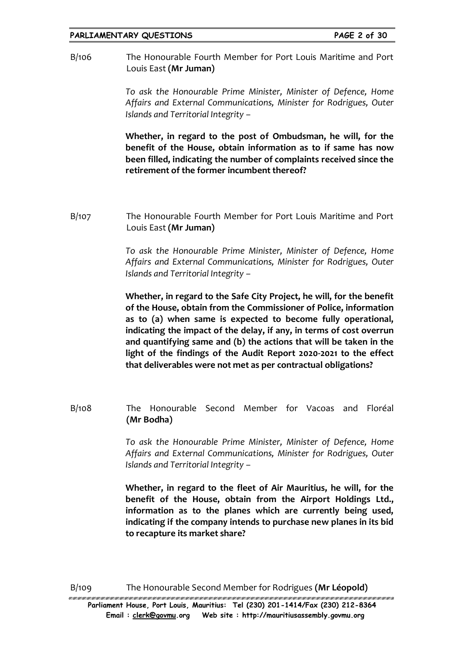#### **PARLIAMENTARY QUESTIONS PAGE 2 of 30**

B/106 The Honourable Fourth Member for Port Louis Maritime and Port Louis East **(Mr Juman)**

> *To ask the Honourable Prime Minister, Minister of Defence, Home Affairs and External Communications, Minister for Rodrigues, Outer Islands and Territorial Integrity –*

> **Whether, in regard to the post of Ombudsman, he will, for the benefit of the House, obtain information as to if same has now been filled, indicating the number of complaints received since the retirement of the former incumbent thereof?**

B/107 The Honourable Fourth Member for Port Louis Maritime and Port Louis East **(Mr Juman)**

> *To ask the Honourable Prime Minister, Minister of Defence, Home Affairs and External Communications, Minister for Rodrigues, Outer Islands and Territorial Integrity –*

> **Whether, in regard to the Safe City Project, he will, for the benefit of the House, obtain from the Commissioner of Police, information as to (a) when same is expected to become fully operational, indicating the impact of the delay, if any, in terms of cost overrun and quantifying same and (b) the actions that will be taken in the light of the findings of the Audit Report 2020-2021 to the effect that deliverables were not met as per contractual obligations?**

B/108 The Honourable Second Member for Vacoas and Floréal **(Mr Bodha)**

> *To ask the Honourable Prime Minister, Minister of Defence, Home Affairs and External Communications, Minister for Rodrigues, Outer Islands and Territorial Integrity –*

> **Whether, in regard to the fleet of Air Mauritius, he will, for the benefit of the House, obtain from the Airport Holdings Ltd., information as to the planes which are currently being used, indicating if the company intends to purchase new planes in its bid to recapture its market share?**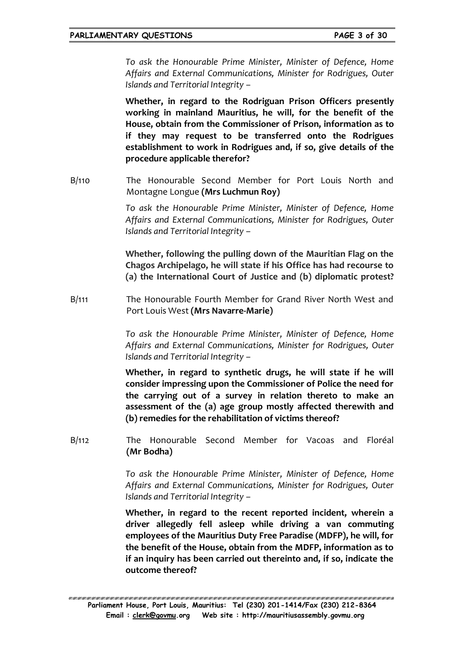*To ask the Honourable Prime Minister, Minister of Defence, Home Affairs and External Communications, Minister for Rodrigues, Outer Islands and Territorial Integrity –*

**Whether, in regard to the Rodriguan Prison Officers presently working in mainland Mauritius, he will, for the benefit of the House, obtain from the Commissioner of Prison, information as to if they may request to be transferred onto the Rodrigues establishment to work in Rodrigues and, if so, give details of the procedure applicable therefor?**

B/110 The Honourable Second Member for Port Louis North and Montagne Longue **(Mrs Luchmun Roy)**

> *To ask the Honourable Prime Minister, Minister of Defence, Home Affairs and External Communications, Minister for Rodrigues, Outer Islands and Territorial Integrity –*

> **Whether, following the pulling down of the Mauritian Flag on the Chagos Archipelago, he will state if his Office has had recourse to (a) the International Court of Justice and (b) diplomatic protest?**

B/111 The Honourable Fourth Member for Grand River North West and Port Louis West **(Mrs Navarre-Marie)**

> *To ask the Honourable Prime Minister, Minister of Defence, Home Affairs and External Communications, Minister for Rodrigues, Outer Islands and Territorial Integrity –*

> **Whether, in regard to synthetic drugs, he will state if he will consider impressing upon the Commissioner of Police the need for the carrying out of a survey in relation thereto to make an assessment of the (a) age group mostly affected therewith and (b) remedies for the rehabilitation of victims thereof?**

B/112 The Honourable Second Member for Vacoas and Floréal **(Mr Bodha)**

> *To ask the Honourable Prime Minister, Minister of Defence, Home Affairs and External Communications, Minister for Rodrigues, Outer Islands and Territorial Integrity –*

> **Whether, in regard to the recent reported incident, wherein a driver allegedly fell asleep while driving a van commuting employees of the Mauritius Duty Free Paradise (MDFP), he will, for the benefit of the House, obtain from the MDFP, information as to if an inquiry has been carried out thereinto and, if so, indicate the outcome thereof?**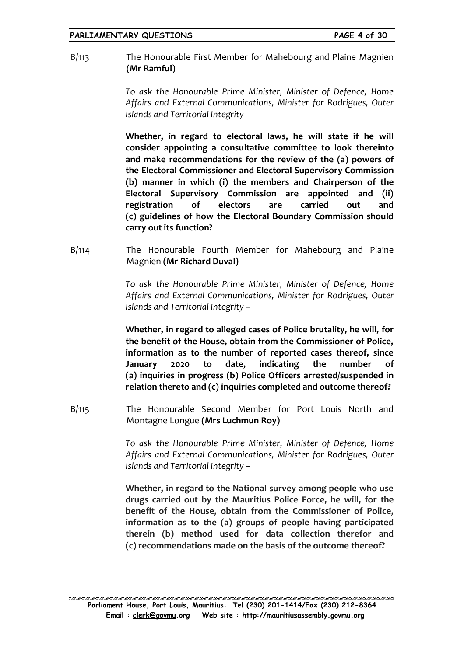B/113 The Honourable First Member for Mahebourg and Plaine Magnien **(Mr Ramful)**

> *To ask the Honourable Prime Minister, Minister of Defence, Home Affairs and External Communications, Minister for Rodrigues, Outer Islands and Territorial Integrity –*

> **Whether, in regard to electoral laws, he will state if he will consider appointing a consultative committee to look thereinto and make recommendations for the review of the (a) powers of the Electoral Commissioner and Electoral Supervisory Commission (b) manner in which (i) the members and Chairperson of the Electoral Supervisory Commission are appointed and (ii) registration of electors are carried out and (c) guidelines of how the Electoral Boundary Commission should carry out its function?**

B/114 The Honourable Fourth Member for Mahebourg and Plaine Magnien **(Mr Richard Duval)**

> *To ask the Honourable Prime Minister, Minister of Defence, Home Affairs and External Communications, Minister for Rodrigues, Outer Islands and Territorial Integrity –*

> **Whether, in regard to alleged cases of Police brutality, he will, for the benefit of the House, obtain from the Commissioner of Police, information as to the number of reported cases thereof, since January 2020 to date, indicating the number of (a) inquiries in progress (b) Police Officers arrested/suspended in relation thereto and (c) inquiries completed and outcome thereof?**

B/115 The Honourable Second Member for Port Louis North and Montagne Longue **(Mrs Luchmun Roy)**

> *To ask the Honourable Prime Minister, Minister of Defence, Home Affairs and External Communications, Minister for Rodrigues, Outer Islands and Territorial Integrity –*

> **Whether, in regard to the National survey among people who use drugs carried out by the Mauritius Police Force, he will, for the benefit of the House, obtain from the Commissioner of Police, information as to the (a) groups of people having participated therein (b) method used for data collection therefor and (c) recommendations made on the basis of the outcome thereof?**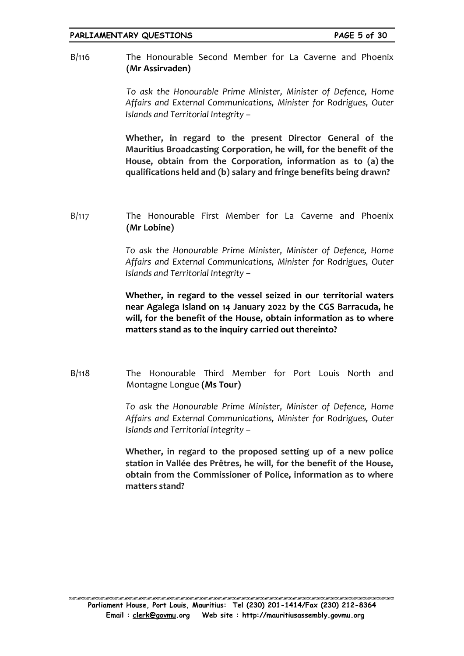B/116 The Honourable Second Member for La Caverne and Phoenix **(Mr Assirvaden)**

> *To ask the Honourable Prime Minister, Minister of Defence, Home Affairs and External Communications, Minister for Rodrigues, Outer Islands and Territorial Integrity –*

> **Whether, in regard to the present Director General of the Mauritius Broadcasting Corporation, he will, for the benefit of the House, obtain from the Corporation, information as to (a) the qualifications held and (b) salary and fringe benefits being drawn?**

B/117 The Honourable First Member for La Caverne and Phoenix **(Mr Lobine)**

> *To ask the Honourable Prime Minister, Minister of Defence, Home Affairs and External Communications, Minister for Rodrigues, Outer Islands and Territorial Integrity –*

> **Whether, in regard to the vessel seized in our territorial waters near Agalega Island on 14 January 2022 by the CGS Barracuda, he will, for the benefit of the House, obtain information as to where matters stand as to the inquiry carried out thereinto?**

B/118 The Honourable Third Member for Port Louis North and Montagne Longue **(Ms Tour)**

> *To ask the Honourable Prime Minister, Minister of Defence, Home Affairs and External Communications, Minister for Rodrigues, Outer Islands and Territorial Integrity –*

> **Whether, in regard to the proposed setting up of a new police station in Vallée des Prêtres, he will, for the benefit of the House, obtain from the Commissioner of Police, information as to where matters stand?**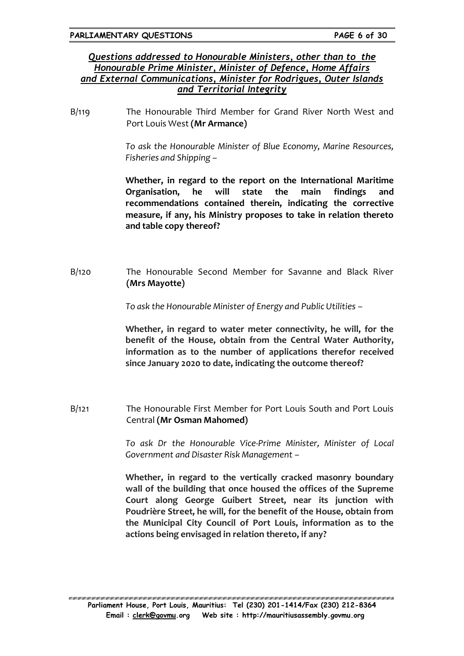### *Questions addressed to Honourable Ministers, other than to the Honourable Prime Minister, Minister of Defence, Home Affairs and External Communications, Minister for Rodrigues, Outer Islands and Territorial Integrity*

B/119 The Honourable Third Member for Grand River North West and Port Louis West **(Mr Armance)**

> *To ask the Honourable Minister of Blue Economy, Marine Resources, Fisheries and Shipping –*

> **Whether, in regard to the report on the International Maritime Organisation, he will state the main findings and recommendations contained therein, indicating the corrective measure, if any, his Ministry proposes to take in relation thereto and table copy thereof?**

B/120 The Honourable Second Member for Savanne and Black River **(Mrs Mayotte)**

*To ask the Honourable Minister of Energy and Public Utilities –*

**Whether, in regard to water meter connectivity, he will, for the benefit of the House, obtain from the Central Water Authority, information as to the number of applications therefor received since January 2020 to date, indicating the outcome thereof?**

B/121 The Honourable First Member for Port Louis South and Port Louis Central **(Mr Osman Mahomed)**

> *To ask Dr the Honourable Vice-Prime Minister, Minister of Local Government and Disaster Risk Management –*

> **Whether, in regard to the vertically cracked masonry boundary wall of the building that once housed the offices of the Supreme Court along George Guibert Street, near its junction with Poudrière Street, he will, for the benefit of the House, obtain from the Municipal City Council of Port Louis, information as to the actions being envisaged in relation thereto, if any?**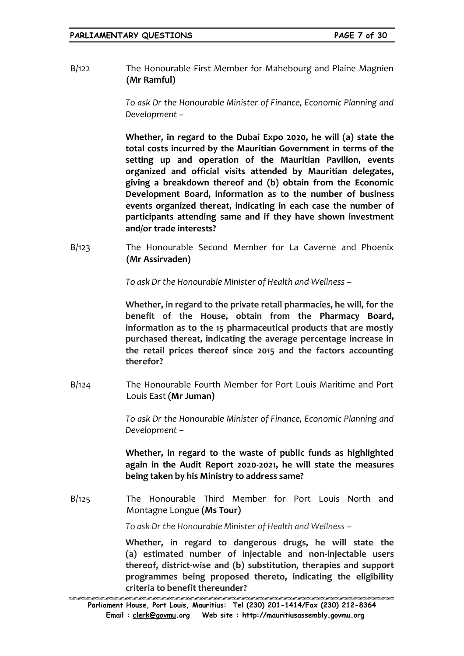B/122 The Honourable First Member for Mahebourg and Plaine Magnien **(Mr Ramful)**

> *To ask Dr the Honourable Minister of Finance, Economic Planning and Development –*

> **Whether, in regard to the Dubai Expo 2020, he will (a) state the total costs incurred by the Mauritian Government in terms of the setting up and operation of the Mauritian Pavilion, events organized and official visits attended by Mauritian delegates, giving a breakdown thereof and (b) obtain from the Economic Development Board, information as to the number of business events organized thereat, indicating in each case the number of participants attending same and if they have shown investment and/or trade interests?**

B/123 The Honourable Second Member for La Caverne and Phoenix **(Mr Assirvaden)**

*To ask Dr the Honourable Minister of Health and Wellness –*

**Whether, in regard to the private retail pharmacies, he will, for the benefit of the House, obtain from the Pharmacy Board, information as to the 15 pharmaceutical products that are mostly purchased thereat, indicating the average percentage increase in the retail prices thereof since 2015 and the factors accounting therefor?**

B/124 The Honourable Fourth Member for Port Louis Maritime and Port Louis East **(Mr Juman)**

> *To ask Dr the Honourable Minister of Finance, Economic Planning and Development –*

> **Whether, in regard to the waste of public funds as highlighted again in the Audit Report 2020-2021, he will state the measures being taken by his Ministry to address same?**

B/125 The Honourable Third Member for Port Louis North and Montagne Longue **(Ms Tour)**

*To ask Dr the Honourable Minister of Health and Wellness –*

**Whether, in regard to dangerous drugs, he will state the (a) estimated number of injectable and non-injectable users thereof, district-wise and (b) substitution, therapies and support programmes being proposed thereto, indicating the eligibility criteria to benefit thereunder?**

<sup>100 / 200 / 200 / 200 / 200 / 200 / 200 / 200 / 200 / 200 / 200 / 200 / 200 / 200 / 200 / 200 / 200 /</sup> **Parliament House, Port Louis, Mauritius: Tel (230) 201-1414/Fax (230) 212-8364 Email : [clerk@govmu.](../Documents/ddrive/Parliamentary%20Business/Parliamentary%20Questions/2022/Parliamentary%20Questions/2020/clerk@govmu⁓翿)org Web site : http://mauritiusassembly.govmu.org**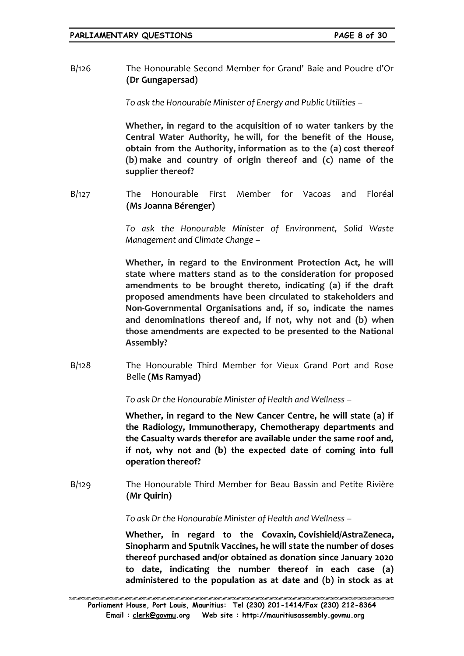B/126 The Honourable Second Member for Grand' Baie and Poudre d'Or **(Dr Gungapersad)**

*To ask the Honourable Minister of Energy and Public Utilities –*

**Whether, in regard to the acquisition of 10 water tankers by the Central Water Authority, he will, for the benefit of the House, obtain from the Authority, information as to the (a) cost thereof (b) make and country of origin thereof and (c) name of the supplier thereof?**

B/127 The Honourable First Member for Vacoas and Floréal **(Ms Joanna Bérenger)**

> *To ask the Honourable Minister of Environment, Solid Waste Management and Climate Change –*

> **Whether, in regard to the Environment Protection Act, he will state where matters stand as to the consideration for proposed amendments to be brought thereto, indicating (a) if the draft proposed amendments have been circulated to stakeholders and Non-Governmental Organisations and, if so, indicate the names and denominations thereof and, if not, why not and (b) when those amendments are expected to be presented to the National Assembly?**

B/128 The Honourable Third Member for Vieux Grand Port and Rose Belle **(Ms Ramyad)**

*To ask Dr the Honourable Minister of Health and Wellness –*

**Whether, in regard to the New Cancer Centre, he will state (a) if the Radiology, Immunotherapy, Chemotherapy departments and the Casualty wards therefor are available under the same roof and, if not, why not and (b) the expected date of coming into full operation thereof?**

B/129 The Honourable Third Member for Beau Bassin and Petite Rivière **(Mr Quirin)**

*To ask Dr the Honourable Minister of Health and Wellness –*

**Whether, in regard to the Covaxin, Covishield/AstraZeneca, Sinopharm and Sputnik Vaccines, he will state the number of doses thereof purchased and/or obtained as donation since January 2020 to date, indicating the number thereof in each case (a) administered to the population as at date and (b) in stock as at**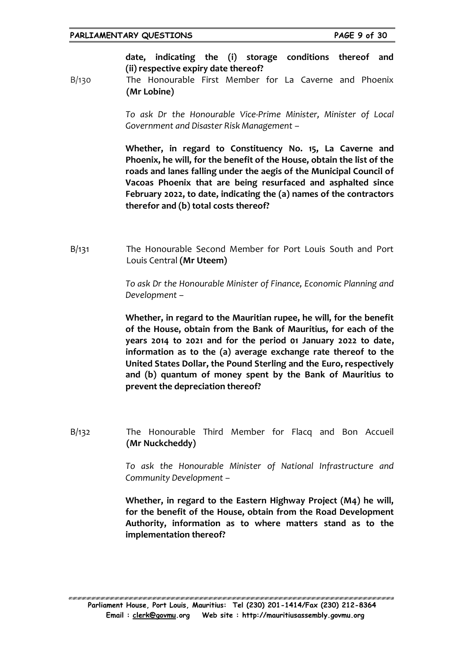#### **PARLIAMENTARY QUESTIONS PAGE 9 of 30**

**date, indicating the (i) storage conditions thereof and (ii) respective expiry date thereof?** 

B/130 The Honourable First Member for La Caverne and Phoenix **(Mr Lobine)**

> *To ask Dr the Honourable Vice-Prime Minister, Minister of Local Government and Disaster Risk Management –*

> **Whether, in regard to Constituency No. 15, La Caverne and Phoenix, he will, for the benefit of the House, obtain the list of the roads and lanes falling under the aegis of the Municipal Council of Vacoas Phoenix that are being resurfaced and asphalted since February 2022, to date, indicating the (a) names of the contractors therefor and (b) total costs thereof?**

B/131 The Honourable Second Member for Port Louis South and Port Louis Central **(Mr Uteem)**

> *To ask Dr the Honourable Minister of Finance, Economic Planning and Development –*

> **Whether, in regard to the Mauritian rupee, he will, for the benefit of the House, obtain from the Bank of Mauritius, for each of the years 2014 to 2021 and for the period 01 January 2022 to date, information as to the (a) average exchange rate thereof to the United States Dollar, the Pound Sterling and the Euro, respectively and (b) quantum of money spent by the Bank of Mauritius to prevent the depreciation thereof?**

B/132 The Honourable Third Member for Flacq and Bon Accueil **(Mr Nuckcheddy)**

> *To ask the Honourable Minister of National Infrastructure and Community Development –*

> **Whether, in regard to the Eastern Highway Project (M4) he will, for the benefit of the House, obtain from the Road Development Authority, information as to where matters stand as to the implementation thereof?**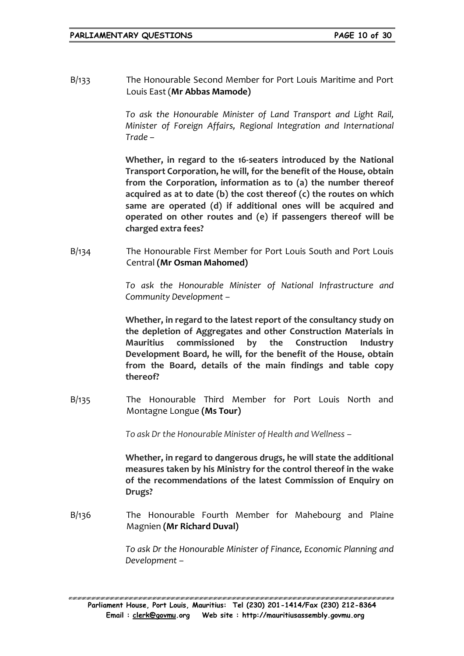B/133 The Honourable Second Member for Port Louis Maritime and Port Louis East (**Mr Abbas Mamode)**

> *To ask the Honourable Minister of Land Transport and Light Rail, Minister of Foreign Affairs, Regional Integration and International Trade –*

> **Whether, in regard to the 16-seaters introduced by the National Transport Corporation, he will, for the benefit of the House, obtain from the Corporation, information as to (a) the number thereof acquired as at to date (b) the cost thereof (c) the routes on which same are operated (d) if additional ones will be acquired and operated on other routes and (e) if passengers thereof will be charged extra fees?**

B/134 The Honourable First Member for Port Louis South and Port Louis Central **(Mr Osman Mahomed)**

> *To ask the Honourable Minister of National Infrastructure and Community Development –*

> **Whether, in regard to the latest report of the consultancy study on the depletion of Aggregates and other Construction Materials in Mauritius commissioned by the Construction Industry Development Board, he will, for the benefit of the House, obtain from the Board, details of the main findings and table copy thereof?**

B/135 The Honourable Third Member for Port Louis North and Montagne Longue **(Ms Tour)**

*To ask Dr the Honourable Minister of Health and Wellness –*

**Whether, in regard to dangerous drugs, he will state the additional measures taken by his Ministry for the control thereof in the wake of the recommendations of the latest Commission of Enquiry on Drugs?**

B/136 The Honourable Fourth Member for Mahebourg and Plaine Magnien **(Mr Richard Duval)**

> *To ask Dr the Honourable Minister of Finance, Economic Planning and Development –*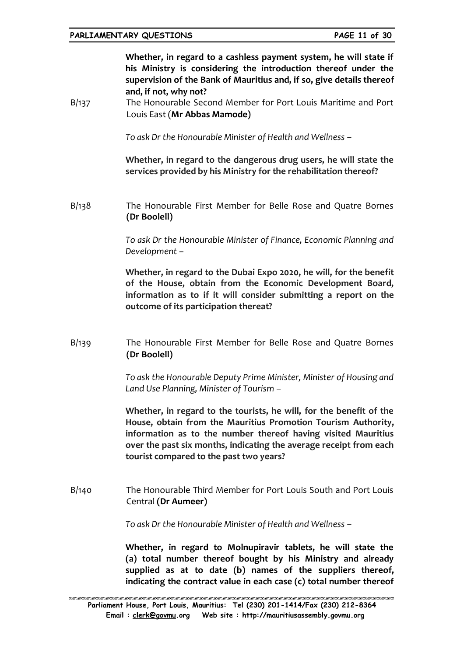**Whether, in regard to a cashless payment system, he will state if his Ministry is considering the introduction thereof under the supervision of the Bank of Mauritius and, if so, give details thereof and, if not, why not?**

B/137 The Honourable Second Member for Port Louis Maritime and Port Louis East (**Mr Abbas Mamode)**

*To ask Dr the Honourable Minister of Health and Wellness –*

**Whether, in regard to the dangerous drug users, he will state the services provided by his Ministry for the rehabilitation thereof?**

B/138 The Honourable First Member for Belle Rose and Quatre Bornes **(Dr Boolell)**

> *To ask Dr the Honourable Minister of Finance, Economic Planning and Development –*

> **Whether, in regard to the Dubai Expo 2020, he will, for the benefit of the House, obtain from the Economic Development Board, information as to if it will consider submitting a report on the outcome of its participation thereat?**

B/139 The Honourable First Member for Belle Rose and Quatre Bornes **(Dr Boolell)**

> *To ask the Honourable Deputy Prime Minister, Minister of Housing and Land Use Planning, Minister of Tourism –*

> **Whether, in regard to the tourists, he will, for the benefit of the House, obtain from the Mauritius Promotion Tourism Authority, information as to the number thereof having visited Mauritius over the past six months, indicating the average receipt from each tourist compared to the past two years?**

B/140 The Honourable Third Member for Port Louis South and Port Louis Central **(Dr Aumeer)**

*To ask Dr the Honourable Minister of Health and Wellness –*

**Whether, in regard to Molnupiravir tablets, he will state the (a) total number thereof bought by his Ministry and already supplied as at to date (b) names of the suppliers thereof, indicating the contract value in each case (c) total number thereof**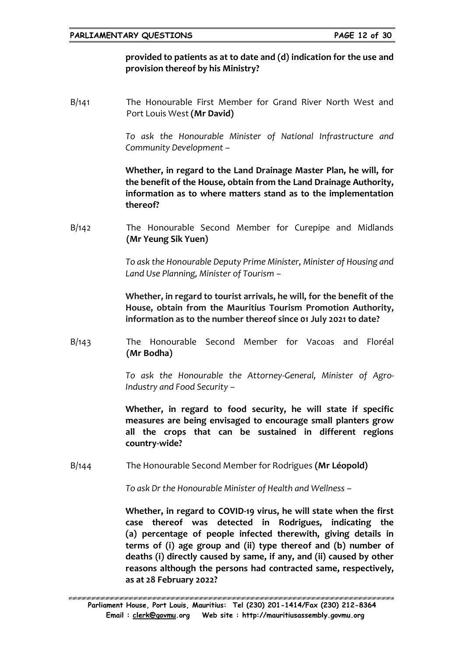## **provided to patients as at to date and (d) indication for the use and provision thereof by his Ministry?**

B/141 The Honourable First Member for Grand River North West and Port Louis West **(Mr David)**

> *To ask the Honourable Minister of National Infrastructure and Community Development –*

> **Whether, in regard to the Land Drainage Master Plan, he will, for the benefit of the House, obtain from the Land Drainage Authority, information as to where matters stand as to the implementation thereof?**

B/142 The Honourable Second Member for Curepipe and Midlands **(Mr Yeung Sik Yuen)**

> *To ask the Honourable Deputy Prime Minister, Minister of Housing and Land Use Planning, Minister of Tourism –*

> **Whether, in regard to tourist arrivals, he will, for the benefit of the House, obtain from the Mauritius Tourism Promotion Authority, information as to the number thereof since 01 July 2021 to date?**

B/143 The Honourable Second Member for Vacoas and Floréal **(Mr Bodha)**

> *To ask the Honourable the Attorney-General, Minister of Agro-Industry and Food Security –*

> **Whether, in regard to food security, he will state if specific measures are being envisaged to encourage small planters grow all the crops that can be sustained in different regions country-wide?**

B/144 The Honourable Second Member for Rodrigues **(Mr Léopold)**

*To ask Dr the Honourable Minister of Health and Wellness –*

**Whether, in regard to COVID-19 virus, he will state when the first case thereof was detected in Rodrigues, indicating the (a) percentage of people infected therewith, giving details in terms of (i) age group and (ii) type thereof and (b) number of deaths (i) directly caused by same, if any, and (ii) caused by other reasons although the persons had contracted same, respectively, as at 28 February 2022?**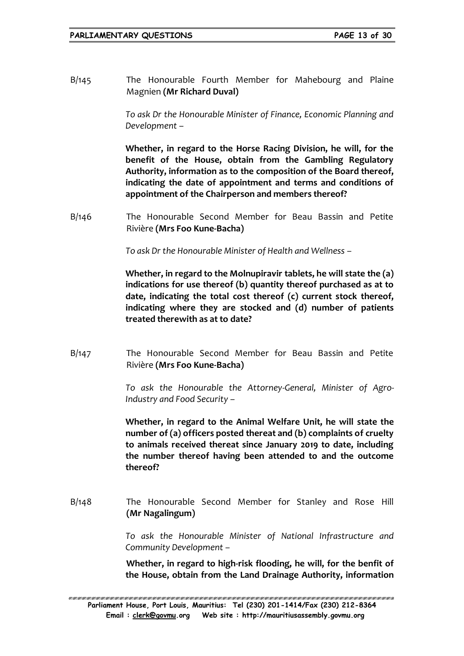B/145 The Honourable Fourth Member for Mahebourg and Plaine Magnien **(Mr Richard Duval)**

> *To ask Dr the Honourable Minister of Finance, Economic Planning and Development –*

> **Whether, in regard to the Horse Racing Division, he will, for the benefit of the House, obtain from the Gambling Regulatory Authority, information as to the composition of the Board thereof, indicating the date of appointment and terms and conditions of appointment of the Chairperson and members thereof?**

B/146 The Honourable Second Member for Beau Bassin and Petite Rivière **(Mrs Foo Kune-Bacha)**

*To ask Dr the Honourable Minister of Health and Wellness –*

**Whether, in regard to the Molnupiravir tablets, he will state the (a) indications for use thereof (b) quantity thereof purchased as at to date, indicating the total cost thereof (c) current stock thereof, indicating where they are stocked and (d) number of patients treated therewith as at to date?**

B/147 The Honourable Second Member for Beau Bassin and Petite Rivière **(Mrs Foo Kune-Bacha)**

> *To ask the Honourable the Attorney-General, Minister of Agro-Industry and Food Security –*

> **Whether, in regard to the Animal Welfare Unit, he will state the number of (a) officers posted thereat and (b) complaints of cruelty to animals received thereat since January 2019 to date, including the number thereof having been attended to and the outcome thereof?**

B/148 The Honourable Second Member for Stanley and Rose Hill **(Mr Nagalingum)**

> *To ask the Honourable Minister of National Infrastructure and Community Development –*

> **Whether, in regard to high-risk flooding, he will, for the benfit of the House, obtain from the Land Drainage Authority, information**

ERREN BREKAREN KREKEREN BREKAREN KREKEREN HERREKEREN HERREKEREN HERREKEREN HERREKEREN HERREKEREN HERREKEREN HE **Parliament House, Port Louis, Mauritius: Tel (230) 201-1414/Fax (230) 212-8364 Email : [clerk@govmu.](../Documents/ddrive/Parliamentary%20Business/Parliamentary%20Questions/2022/Parliamentary%20Questions/2020/clerk@govmu⁓翿)org Web site : http://mauritiusassembly.govmu.org**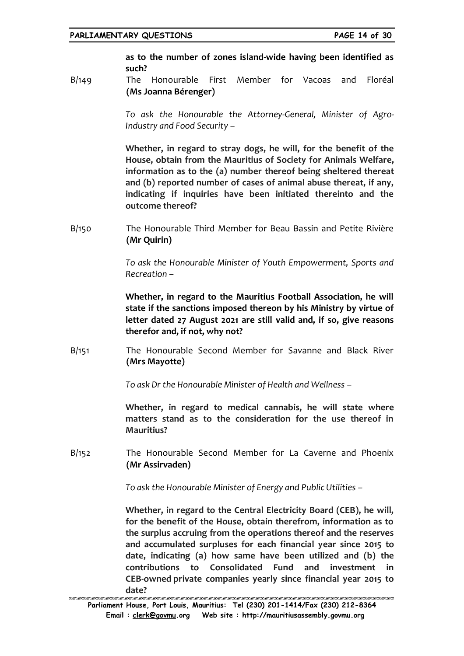**as to the number of zones island-wide having been identified as such?**

B/149 The Honourable First Member for Vacoas and Floréal **(Ms Joanna Bérenger)**

> *To ask the Honourable the Attorney-General, Minister of Agro-Industry and Food Security –*

> **Whether, in regard to stray dogs, he will, for the benefit of the House, obtain from the Mauritius of Society for Animals Welfare, information as to the (a) number thereof being sheltered thereat and (b) reported number of cases of animal abuse thereat, if any, indicating if inquiries have been initiated thereinto and the outcome thereof?**

B/150 The Honourable Third Member for Beau Bassin and Petite Rivière **(Mr Quirin)**

> *To ask the Honourable Minister of Youth Empowerment, Sports and Recreation –*

> **Whether, in regard to the Mauritius Football Association, he will state if the sanctions imposed thereon by his Ministry by virtue of letter dated 27 August 2021 are still valid and, if so, give reasons therefor and, if not, why not?**

B/151 The Honourable Second Member for Savanne and Black River **(Mrs Mayotte)**

*To ask Dr the Honourable Minister of Health and Wellness –*

**Whether, in regard to medical cannabis, he will state where matters stand as to the consideration for the use thereof in Mauritius?**

B/152 The Honourable Second Member for La Caverne and Phoenix **(Mr Assirvaden)**

*To ask the Honourable Minister of Energy and Public Utilities –*

**Whether, in regard to the Central Electricity Board (CEB), he will, for the benefit of the House, obtain therefrom, information as to the surplus accruing from the operations thereof and the reserves and accumulated surpluses for each financial year since 2015 to date, indicating (a) how same have been utilized and (b) the contributions to Consolidated Fund and investment in CEB-owned private companies yearly since financial year 2015 to date?**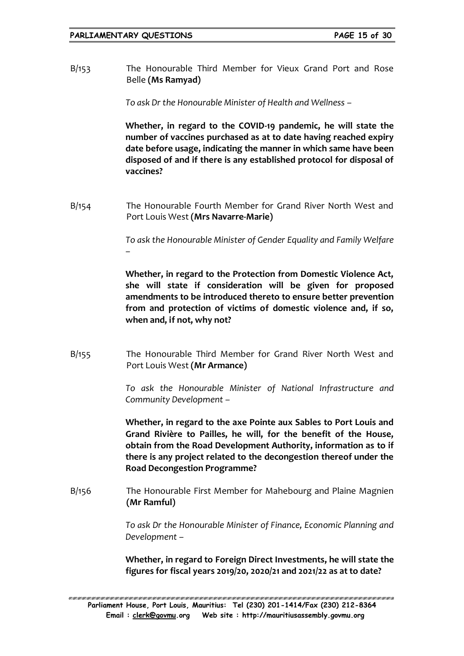B/153 The Honourable Third Member for Vieux Grand Port and Rose Belle **(Ms Ramyad)**

*To ask Dr the Honourable Minister of Health and Wellness –*

**Whether, in regard to the COVID-19 pandemic, he will state the number of vaccines purchased as at to date having reached expiry date before usage, indicating the manner in which same have been disposed of and if there is any established protocol for disposal of vaccines?**

B/154 The Honourable Fourth Member for Grand River North West and Port Louis West **(Mrs Navarre-Marie)**

> *To ask the Honourable Minister of Gender Equality and Family Welfare –*

> **Whether, in regard to the Protection from Domestic Violence Act, she will state if consideration will be given for proposed amendments to be introduced thereto to ensure better prevention from and protection of victims of domestic violence and, if so, when and, if not, why not?**

B/155 The Honourable Third Member for Grand River North West and Port Louis West **(Mr Armance)**

> *To ask the Honourable Minister of National Infrastructure and Community Development –*

> **Whether, in regard to the axe Pointe aux Sables to Port Louis and Grand Rivière to Pailles, he will, for the benefit of the House, obtain from the Road Development Authority, information as to if there is any project related to the decongestion thereof under the Road Decongestion Programme?**

B/156 The Honourable First Member for Mahebourg and Plaine Magnien **(Mr Ramful)**

> *To ask Dr the Honourable Minister of Finance, Economic Planning and Development –*

> **Whether, in regard to Foreign Direct Investments, he will state the figures for fiscal years 2019/20, 2020/21 and 2021/22 as at to date?**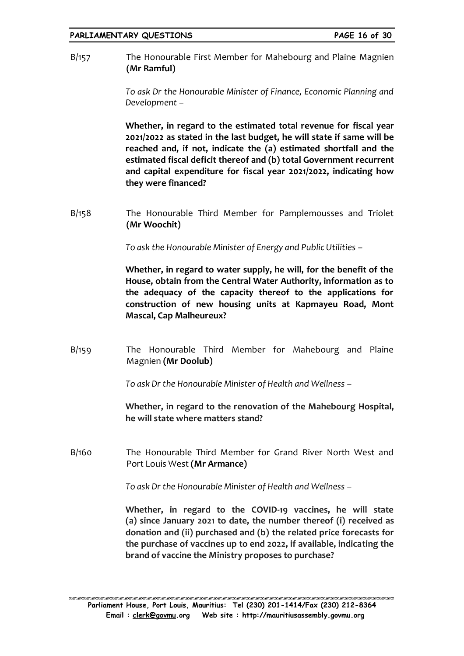B/157 The Honourable First Member for Mahebourg and Plaine Magnien **(Mr Ramful)**

> *To ask Dr the Honourable Minister of Finance, Economic Planning and Development –*

> **Whether, in regard to the estimated total revenue for fiscal year 2021/2022 as stated in the last budget, he will state if same will be reached and, if not, indicate the (a) estimated shortfall and the estimated fiscal deficit thereof and (b) total Government recurrent and capital expenditure for fiscal year 2021/2022, indicating how they were financed?**

B/158 The Honourable Third Member for Pamplemousses and Triolet **(Mr Woochit)**

*To ask the Honourable Minister of Energy and Public Utilities –*

**Whether, in regard to water supply, he will, for the benefit of the House, obtain from the Central Water Authority, information as to the adequacy of the capacity thereof to the applications for construction of new housing units at Kapmayeu Road, Mont Mascal, Cap Malheureux?** 

B/159 The Honourable Third Member for Mahebourg and Plaine Magnien **(Mr Doolub)**

*To ask Dr the Honourable Minister of Health and Wellness –*

**Whether, in regard to the renovation of the Mahebourg Hospital, he will state where matters stand?**

B/160 The Honourable Third Member for Grand River North West and Port Louis West **(Mr Armance)**

*To ask Dr the Honourable Minister of Health and Wellness –*

**Whether, in regard to the COVID-19 vaccines, he will state (a) since January 2021 to date, the number thereof (i) received as donation and (ii) purchased and (b) the related price forecasts for the purchase of vaccines up to end 2022, if available, indicating the brand of vaccine the Ministry proposes to purchase?**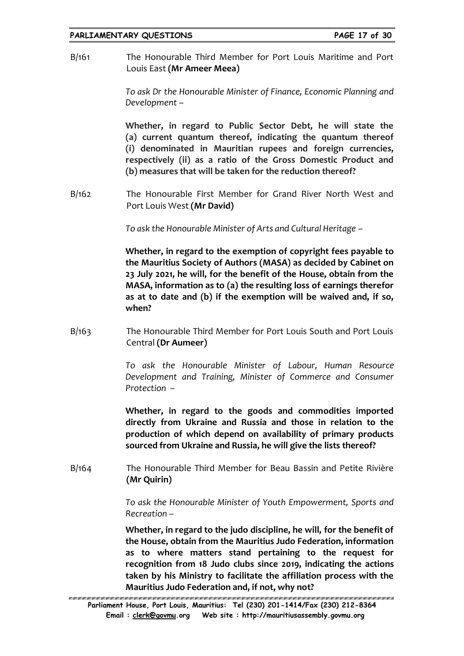B/161 The Honourable Third Member for Port Louis Maritime and Port Louis East **(Mr Ameer Meea)**

> *To ask Dr the Honourable Minister of Finance, Economic Planning and Development –*

> **Whether, in regard to Public Sector Debt, he will state the (a) current quantum thereof, indicating the quantum thereof (i) denominated in Mauritian rupees and foreign currencies, respectively (ii) as a ratio of the Gross Domestic Product and (b) measures that will be taken for the reduction thereof?**

B/162 The Honourable First Member for Grand River North West and Port Louis West **(Mr David)**

*To ask the Honourable Minister of Arts and Cultural Heritage –*

**Whether, in regard to the exemption of copyright fees payable to the Mauritius Society of Authors (MASA) as decided by Cabinet on 23 July 2021, he will, for the benefit of the House, obtain from the MASA, information as to (a) the resulting loss of earnings therefor as at to date and (b) if the exemption will be waived and, if so, when?**

B/163 The Honourable Third Member for Port Louis South and Port Louis Central **(Dr Aumeer)**

> *To ask the Honourable Minister of Labour, Human Resource Development and Training, Minister of Commerce and Consumer Protection –*

> **Whether, in regard to the goods and commodities imported directly from Ukraine and Russia and those in relation to the production of which depend on availability of primary products sourced from Ukraine and Russia, he will give the lists thereof?**

B/164 The Honourable Third Member for Beau Bassin and Petite Rivière **(Mr Quirin)**

> *To ask the Honourable Minister of Youth Empowerment, Sports and Recreation –*

> **Whether, in regard to the judo discipline, he will, for the benefit of the House, obtain from the Mauritius Judo Federation, information as to where matters stand pertaining to the request for recognition from 18 Judo clubs since 2019, indicating the actions taken by his Ministry to facilitate the affiliation process with the Mauritius Judo Federation and, if not, why not?**

ARTAN MATANAN KENDUNGKAN MELANGKAN MELANGKAN MELANGKAN MELANGKAN MELANGKAN MELANGKAN MELANGKAN MELANGKAN MELANG **Parliament House, Port Louis, Mauritius: Tel (230) 201-1414/Fax (230) 212-8364 Email : [clerk@govmu.](../Documents/ddrive/Parliamentary%20Business/Parliamentary%20Questions/2022/Parliamentary%20Questions/2020/clerk@govmu⁓翿)org Web site : http://mauritiusassembly.govmu.org**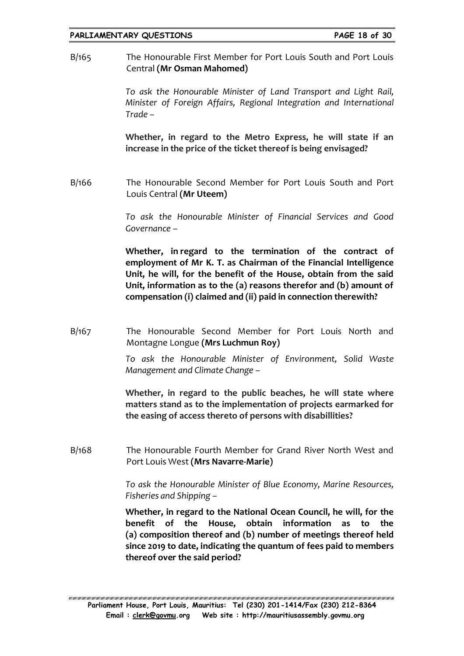#### **PARLIAMENTARY QUESTIONS PAGE 18 of 30**

B/165 The Honourable First Member for Port Louis South and Port Louis Central **(Mr Osman Mahomed)**

> *To ask the Honourable Minister of Land Transport and Light Rail, Minister of Foreign Affairs, Regional Integration and International Trade –*

> **Whether, in regard to the Metro Express, he will state if an increase in the price of the ticket thereof is being envisaged?**

B/166 The Honourable Second Member for Port Louis South and Port Louis Central **(Mr Uteem)**

> *To ask the Honourable Minister of Financial Services and Good Governance –*

> **Whether, in regard to the termination of the contract of employment of Mr K. T. as Chairman of the Financial Intelligence Unit, he will, for the benefit of the House, obtain from the said Unit, information as to the (a) reasons therefor and (b) amount of compensation (i) claimed and (ii) paid in connection therewith?**

B/167 The Honourable Second Member for Port Louis North and Montagne Longue **(Mrs Luchmun Roy)**

> *To ask the Honourable Minister of Environment, Solid Waste Management and Climate Change –*

> **Whether, in regard to the public beaches, he will state where matters stand as to the implementation of projects earmarked for the easing of access thereto of persons with disabillities?**

B/168 The Honourable Fourth Member for Grand River North West and Port Louis West **(Mrs Navarre-Marie)**

> *To ask the Honourable Minister of Blue Economy, Marine Resources, Fisheries and Shipping –*

> **Whether, in regard to the National Ocean Council, he will, for the benefit of the House, obtain information as to the (a) composition thereof and (b) number of meetings thereof held since 2019 to date, indicating the quantum of fees paid to members thereof over the said period?**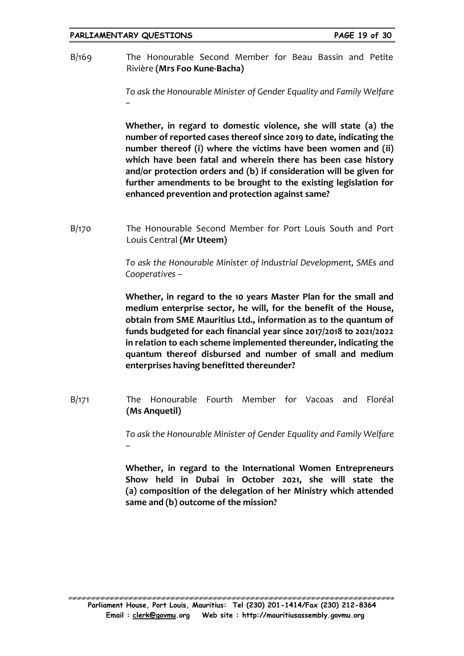#### **PARLIAMENTARY QUESTIONS PAGE 19 of 30**

B/169 The Honourable Second Member for Beau Bassin and Petite Rivière **(Mrs Foo Kune-Bacha)**

> *To ask the Honourable Minister of Gender Equality and Family Welfare –*

> **Whether, in regard to domestic violence, she will state (a) the number of reported cases thereof since 2019 to date, indicating the number thereof (i) where the victims have been women and (ii) which have been fatal and wherein there has been case history and/or protection orders and (b) if consideration will be given for further amendments to be brought to the existing legislation for enhanced prevention and protection against same?**

B/170 The Honourable Second Member for Port Louis South and Port Louis Central **(Mr Uteem)**

> *To ask the Honourable Minister of Industrial Development, SMEs and Cooperatives –*

> **Whether, in regard to the 10 years Master Plan for the small and medium enterprise sector, he will, for the benefit of the House, obtain from SME Mauritius Ltd., information as to the quantum of funds budgeted for each financial year since 2017/2018 to 2021/2022 in relation to each scheme implemented thereunder, indicating the quantum thereof disbursed and number of small and medium enterprises having benefitted thereunder?**

B/171 The Honourable Fourth Member for Vacoas and Floréal **(Ms Anquetil)**

> *To ask the Honourable Minister of Gender Equality and Family Welfare –*

> **Whether, in regard to the International Women Entrepreneurs Show held in Dubai in October 2021, she will state the (a) composition of the delegation of her Ministry which attended same and (b) outcome of the mission?**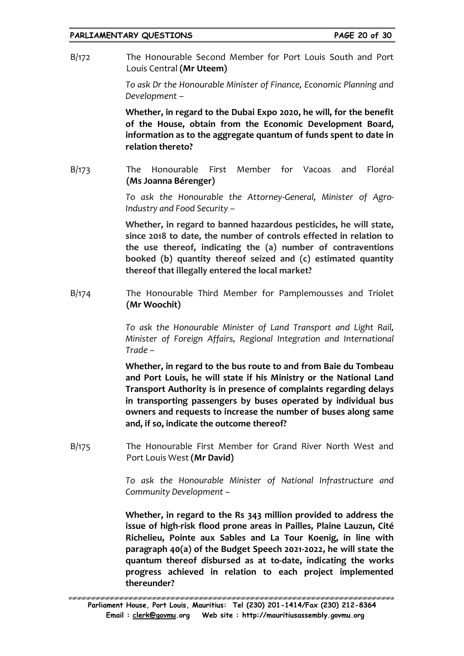B/172 The Honourable Second Member for Port Louis South and Port Louis Central **(Mr Uteem)**

> *To ask Dr the Honourable Minister of Finance, Economic Planning and Development –*

> **Whether, in regard to the Dubai Expo 2020, he will, for the benefit of the House, obtain from the Economic Development Board, information as to the aggregate quantum of funds spent to date in relation thereto?**

B/173 The Honourable First Member for Vacoas and Floréal **(Ms Joanna Bérenger)**

> *To ask the Honourable the Attorney-General, Minister of Agro-Industry and Food Security –*

> **Whether, in regard to banned hazardous pesticides, he will state, since 2018 to date, the number of controls effected in relation to the use thereof, indicating the (a) number of contraventions booked (b) quantity thereof seized and (c) estimated quantity thereof that illegally entered the local market?**

B/174 The Honourable Third Member for Pamplemousses and Triolet **(Mr Woochit)**

> *To ask the Honourable Minister of Land Transport and Light Rail, Minister of Foreign Affairs, Regional Integration and International Trade –*

> **Whether, in regard to the bus route to and from Baie du Tombeau and Port Louis, he will state if his Ministry or the National Land Transport Authority is in presence of complaints regarding delays in transporting passengers by buses operated by individual bus owners and requests to increase the number of buses along same and, if so, indicate the outcome thereof?**

B/175 The Honourable First Member for Grand River North West and Port Louis West **(Mr David)**

> *To ask the Honourable Minister of National Infrastructure and Community Development –*

> **Whether, in regard to the Rs 343 million provided to address the issue of high-risk flood prone areas in Pailles, Plaine Lauzun, Cité Richelieu, Pointe aux Sables and La Tour Koenig, in line with paragraph 40(a) of the Budget Speech 2021-2022, he will state the quantum thereof disbursed as at to-date, indicating the works progress achieved in relation to each project implemented thereunder?**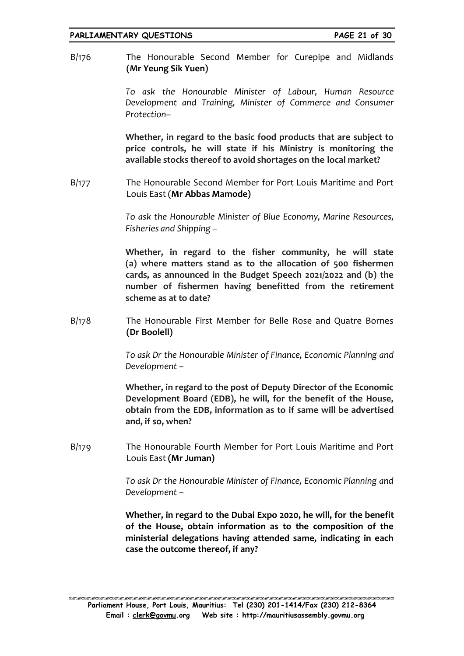B/176 The Honourable Second Member for Curepipe and Midlands **(Mr Yeung Sik Yuen)**

> *To ask the Honourable Minister of Labour, Human Resource Development and Training, Minister of Commerce and Consumer Protection–*

> **Whether, in regard to the basic food products that are subject to price controls, he will state if his Ministry is monitoring the available stocks thereof to avoid shortages on the local market?**

B/177 The Honourable Second Member for Port Louis Maritime and Port Louis East (**Mr Abbas Mamode)**

> *To ask the Honourable Minister of Blue Economy, Marine Resources, Fisheries and Shipping –*

> **Whether, in regard to the fisher community, he will state (a) where matters stand as to the allocation of 500 fishermen cards, as announced in the Budget Speech 2021/2022 and (b) the number of fishermen having benefitted from the retirement scheme as at to date?**

B/178 The Honourable First Member for Belle Rose and Quatre Bornes **(Dr Boolell)**

> *To ask Dr the Honourable Minister of Finance, Economic Planning and Development –*

> **Whether, in regard to the post of Deputy Director of the Economic Development Board (EDB), he will, for the benefit of the House, obtain from the EDB, information as to if same will be advertised and, if so, when?**

B/179 The Honourable Fourth Member for Port Louis Maritime and Port Louis East **(Mr Juman)**

> *To ask Dr the Honourable Minister of Finance, Economic Planning and Development –*

> **Whether, in regard to the Dubai Expo 2020, he will, for the benefit of the House, obtain information as to the composition of the ministerial delegations having attended same, indicating in each case the outcome thereof, if any?**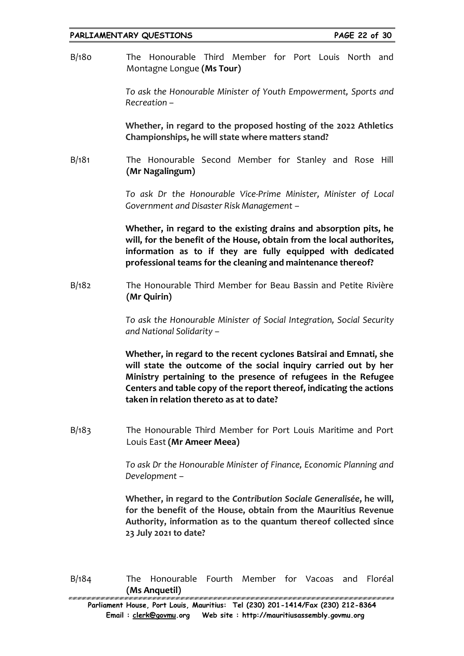#### **PARLIAMENTARY QUESTIONS PAGE 22 of 30**

B/180 The Honourable Third Member for Port Louis North and Montagne Longue **(Ms Tour)**

> *To ask the Honourable Minister of Youth Empowerment, Sports and Recreation –*

> **Whether, in regard to the proposed hosting of the 2022 Athletics Championships, he will state where matters stand?**

B/181 The Honourable Second Member for Stanley and Rose Hill **(Mr Nagalingum)**

> *To ask Dr the Honourable Vice-Prime Minister, Minister of Local Government and Disaster Risk Management –*

> **Whether, in regard to the existing drains and absorption pits, he will, for the benefit of the House, obtain from the local authorites, information as to if they are fully equipped with dedicated professional teams for the cleaning and maintenance thereof?**

B/182 The Honourable Third Member for Beau Bassin and Petite Rivière **(Mr Quirin)**

> *To ask the Honourable Minister of Social Integration, Social Security and National Solidarity –*

> **Whether, in regard to the recent cyclones Batsirai and Emnati, she will state the outcome of the social inquiry carried out by her Ministry pertaining to the presence of refugees in the Refugee Centers and table copy of the report thereof, indicating the actions taken in relation thereto as at to date?**

B/183 The Honourable Third Member for Port Louis Maritime and Port Louis East **(Mr Ameer Meea)**

> *To ask Dr the Honourable Minister of Finance, Economic Planning and Development –*

> **Whether, in regard to the** *Contribution Sociale Generalisée***, he will, for the benefit of the House, obtain from the Mauritius Revenue Authority, information as to the quantum thereof collected since 23 July 2021 to date?**

B/184 The Honourable Fourth Member for Vacoas and Floréal **(Ms Anquetil)**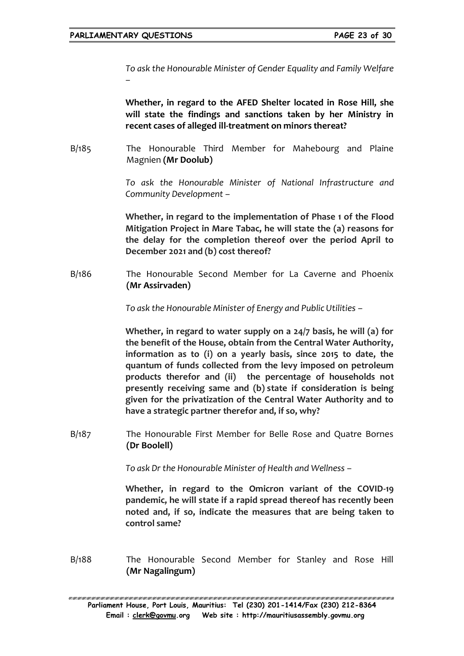*To ask the Honourable Minister of Gender Equality and Family Welfare –*

**Whether, in regard to the AFED Shelter located in Rose Hill, she will state the findings and sanctions taken by her Ministry in recent cases of alleged ill-treatment on minors thereat?**

B/185 The Honourable Third Member for Mahebourg and Plaine Magnien **(Mr Doolub)**

> *To ask the Honourable Minister of National Infrastructure and Community Development –*

> **Whether, in regard to the implementation of Phase 1 of the Flood Mitigation Project in Mare Tabac, he will state the (a) reasons for the delay for the completion thereof over the period April to December 2021 and (b) cost thereof?**

B/186 The Honourable Second Member for La Caverne and Phoenix **(Mr Assirvaden)**

*To ask the Honourable Minister of Energy and Public Utilities –*

**Whether, in regard to water supply on a 24/7 basis, he will (a) for the benefit of the House, obtain from the Central Water Authority, information as to (i) on a yearly basis, since 2015 to date, the quantum of funds collected from the levy imposed on petroleum products therefor and (ii) the percentage of households not presently receiving same and (b) state if consideration is being given for the privatization of the Central Water Authority and to have a strategic partner therefor and, if so, why?**

B/187 The Honourable First Member for Belle Rose and Quatre Bornes **(Dr Boolell)**

*To ask Dr the Honourable Minister of Health and Wellness –*

**Whether, in regard to the Omicron variant of the COVID-19 pandemic, he will state if a rapid spread thereof has recently been noted and, if so, indicate the measures that are being taken to control same?**

B/188 The Honourable Second Member for Stanley and Rose Hill **(Mr Nagalingum)**

ERREN BREKER KREAREN ER KREAREN ER KREAREN ER KREAREN ER KREAREN ER KREAREN ER KREAREN ER KREAREN ER KREAREN E **Parliament House, Port Louis, Mauritius: Tel (230) 201-1414/Fax (230) 212-8364 Email : [clerk@govmu.](../Documents/ddrive/Parliamentary%20Business/Parliamentary%20Questions/2022/Parliamentary%20Questions/2020/clerk@govmu⁓翿)org Web site : http://mauritiusassembly.govmu.org**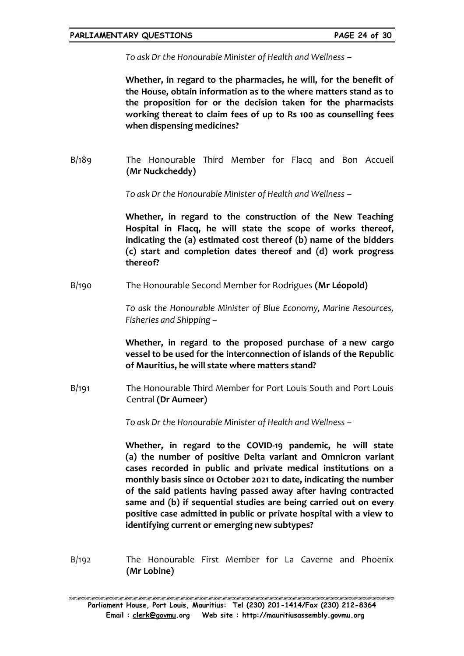*To ask Dr the Honourable Minister of Health and Wellness –*

**Whether, in regard to the pharmacies, he will, for the benefit of the House, obtain information as to the where matters stand as to the proposition for or the decision taken for the pharmacists working thereat to claim fees of up to Rs 100 as counselling fees when dispensing medicines?**

B/189 The Honourable Third Member for Flacq and Bon Accueil **(Mr Nuckcheddy)**

*To ask Dr the Honourable Minister of Health and Wellness –*

**Whether, in regard to the construction of the New Teaching Hospital in Flacq, he will state the scope of works thereof, indicating the (a) estimated cost thereof (b) name of the bidders (c) start and completion dates thereof and (d) work progress thereof?**

B/190 The Honourable Second Member for Rodrigues **(Mr Léopold)**

*To ask the Honourable Minister of Blue Economy, Marine Resources, Fisheries and Shipping –*

**Whether, in regard to the proposed purchase of a new cargo vessel to be used for the interconnection of islands of the Republic of Mauritius, he will state where matters stand?**

B/191 The Honourable Third Member for Port Louis South and Port Louis Central **(Dr Aumeer)**

*To ask Dr the Honourable Minister of Health and Wellness –*

**Whether, in regard to the COVID-19 pandemic, he will state (a) the number of positive Delta variant and Omnicron variant cases recorded in public and private medical institutions on a monthly basis since 01 October 2021 to date, indicating the number of the said patients having passed away after having contracted same and (b) if sequential studies are being carried out on every positive case admitted in public or private hospital with a view to identifying current or emerging new subtypes?**

B/192 The Honourable First Member for La Caverne and Phoenix **(Mr Lobine)**

EN NATIONAL NATIONAL NA MANAGEMENTE NA MANAGEMENTE NA MANAGEMENTE NA MANAGEMENTE NA MANAGEMENTE NA MANAGEMENTE **Parliament House, Port Louis, Mauritius: Tel (230) 201-1414/Fax (230) 212-8364 Email : [clerk@govmu.](../Documents/ddrive/Parliamentary%20Business/Parliamentary%20Questions/2022/Parliamentary%20Questions/2020/clerk@govmu⁓翿)org Web site : http://mauritiusassembly.govmu.org**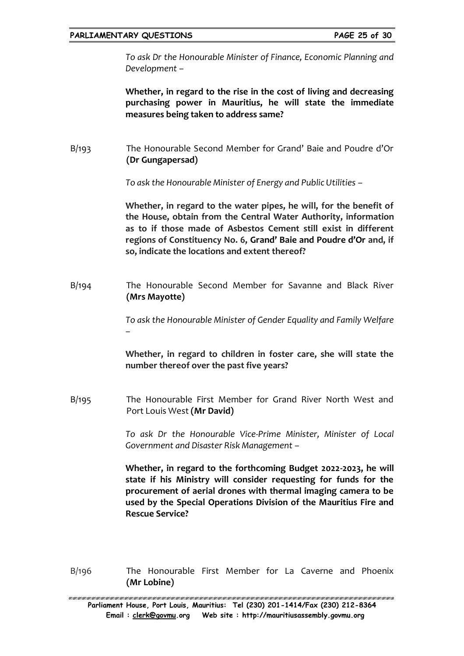*To ask Dr the Honourable Minister of Finance, Economic Planning and Development –*

**Whether, in regard to the rise in the cost of living and decreasing purchasing power in Mauritius, he will state the immediate measures being taken to address same?**

B/193 The Honourable Second Member for Grand' Baie and Poudre d'Or **(Dr Gungapersad)**

*To ask the Honourable Minister of Energy and Public Utilities –*

**Whether, in regard to the water pipes, he will, for the benefit of the House, obtain from the Central Water Authority, information as to if those made of Asbestos Cement still exist in different regions of Constituency No. 6, Grand' Baie and Poudre d'Or and, if so, indicate the locations and extent thereof?**

B/194 The Honourable Second Member for Savanne and Black River **(Mrs Mayotte)**

> *To ask the Honourable Minister of Gender Equality and Family Welfare –*

> **Whether, in regard to children in foster care, she will state the number thereof over the past five years?**

B/195 The Honourable First Member for Grand River North West and Port Louis West **(Mr David)**

> *To ask Dr the Honourable Vice-Prime Minister, Minister of Local Government and Disaster Risk Management –*

> **Whether, in regard to the forthcoming Budget 2022-2023, he will state if his Ministry will consider requesting for funds for the procurement of aerial drones with thermal imaging camera to be used by the Special Operations Division of the Mauritius Fire and Rescue Service?**

B/196 The Honourable First Member for La Caverne and Phoenix **(Mr Lobine)**

<u>ALAN MALAN MAHALAN MALAN MALAN MALAN MALAN MALAN MALAN MALAN MALAN MALAN MALAN MALAN MALAN MALAN MALAN MALAN M</u> **Parliament House, Port Louis, Mauritius: Tel (230) 201-1414/Fax (230) 212-8364 Email : [clerk@govmu.](../Documents/ddrive/Parliamentary%20Business/Parliamentary%20Questions/2022/Parliamentary%20Questions/2020/clerk@govmu⁓翿)org Web site : http://mauritiusassembly.govmu.org**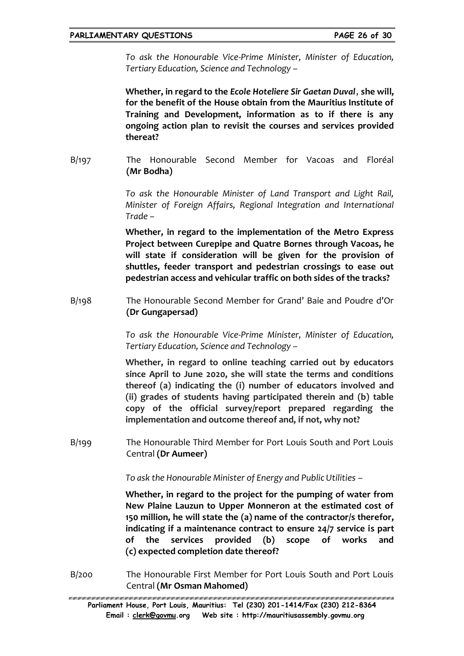*To ask the Honourable Vice-Prime Minister, Minister of Education, Tertiary Education, Science and Technology –*

**Whether, in regard to the** *Ecole Hoteliere Sir Gaetan Duval*, **she will, for the benefit of the House obtain from the Mauritius Institute of Training and Development, information as to if there is any ongoing action plan to revisit the courses and services provided thereat?**

B/197 The Honourable Second Member for Vacoas and Floréal **(Mr Bodha)**

> *To ask the Honourable Minister of Land Transport and Light Rail, Minister of Foreign Affairs, Regional Integration and International Trade –*

> **Whether, in regard to the implementation of the Metro Express Project between Curepipe and Quatre Bornes through Vacoas, he will state if consideration will be given for the provision of shuttles, feeder transport and pedestrian crossings to ease out pedestrian access and vehicular traffic on both sides of the tracks?**

B/198 The Honourable Second Member for Grand' Baie and Poudre d'Or **(Dr Gungapersad)**

> *To ask the Honourable Vice-Prime Minister, Minister of Education, Tertiary Education, Science and Technology –*

> **Whether, in regard to online teaching carried out by educators since April to June 2020, she will state the terms and conditions thereof (a) indicating the (i) number of educators involved and (ii) grades of students having participated therein and (b) table copy of the official survey/report prepared regarding the implementation and outcome thereof and, if not, why not?**

B/199 The Honourable Third Member for Port Louis South and Port Louis Central **(Dr Aumeer)**

*To ask the Honourable Minister of Energy and Public Utilities –*

**Whether, in regard to the project for the pumping of water from New Plaine Lauzun to Upper Monneron at the estimated cost of 150 million, he will state the (a) name of the contractor/s therefor, indicating if a maintenance contract to ensure 24/7 service is part of the services provided (b) scope of works and (c) expected completion date thereof?**

B/200 The Honourable First Member for Port Louis South and Port Louis Central **(Mr Osman Mahomed)**

**Parliament House, Port Louis, Mauritius: Tel (230) 201-1414/Fax (230) 212-8364 Email : [clerk@govmu.](../Documents/ddrive/Parliamentary%20Business/Parliamentary%20Questions/2022/Parliamentary%20Questions/2020/clerk@govmu⁓翿)org Web site : http://mauritiusassembly.govmu.org**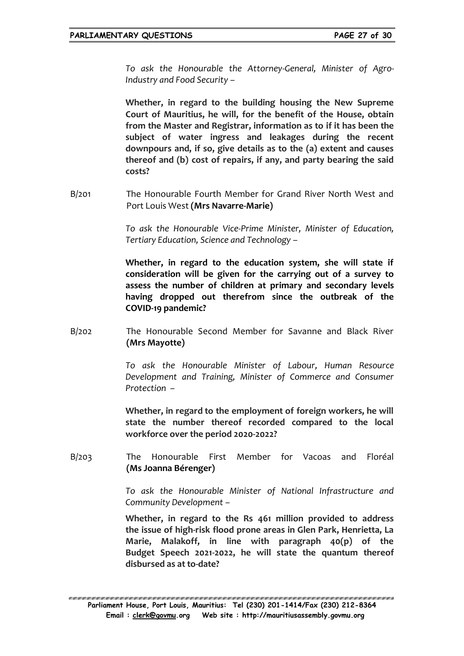*To ask the Honourable the Attorney-General, Minister of Agro-Industry and Food Security –*

**Whether, in regard to the building housing the New Supreme Court of Mauritius, he will, for the benefit of the House, obtain from the Master and Registrar, information as to if it has been the subject of water ingress and leakages during the recent downpours and, if so, give details as to the (a) extent and causes thereof and (b) cost of repairs, if any, and party bearing the said costs?**

B/201 The Honourable Fourth Member for Grand River North West and Port Louis West **(Mrs Navarre-Marie)**

> *To ask the Honourable Vice-Prime Minister, Minister of Education, Tertiary Education, Science and Technology –*

> **Whether, in regard to the education system, she will state if consideration will be given for the carrying out of a survey to assess the number of children at primary and secondary levels having dropped out therefrom since the outbreak of the COVID-19 pandemic?**

B/202 The Honourable Second Member for Savanne and Black River **(Mrs Mayotte)**

> *To ask the Honourable Minister of Labour, Human Resource Development and Training, Minister of Commerce and Consumer Protection –*

> **Whether, in regard to the employment of foreign workers, he will state the number thereof recorded compared to the local workforce over the period 2020-2022?**

B/203 The Honourable First Member for Vacoas and Floréal **(Ms Joanna Bérenger)**

> *To ask the Honourable Minister of National Infrastructure and Community Development –*

> **Whether, in regard to the Rs 461 million provided to address the issue of high-risk flood prone areas in Glen Park, Henrietta, La Marie, Malakoff, in line with paragraph 40(p) of the Budget Speech 2021-2022, he will state the quantum thereof disbursed as at to-date?**

EN NATIONAL NATIONAL NA MANAGEMENTE NA MANAGEMENTE NA MANAGEMENTE NA MANAGEMENTE NA MANAGEMENTE NA MANAGEMENTE **Parliament House, Port Louis, Mauritius: Tel (230) 201-1414/Fax (230) 212-8364 Email : [clerk@govmu.](../Documents/ddrive/Parliamentary%20Business/Parliamentary%20Questions/2022/Parliamentary%20Questions/2020/clerk@govmu⁓翿)org Web site : http://mauritiusassembly.govmu.org**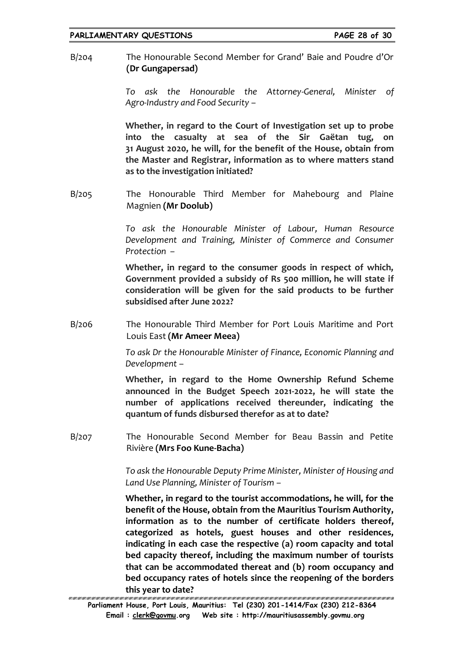B/204 The Honourable Second Member for Grand' Baie and Poudre d'Or **(Dr Gungapersad)**

> *To ask the Honourable the Attorney-General, Minister of Agro-Industry and Food Security –*

> **Whether, in regard to the Court of Investigation set up to probe into the casualty at sea of the Sir Gaëtan tug, on 31 August 2020, he will, for the benefit of the House, obtain from the Master and Registrar, information as to where matters stand as to the investigation initiated?**

B/205 The Honourable Third Member for Mahebourg and Plaine Magnien **(Mr Doolub)**

> *To ask the Honourable Minister of Labour, Human Resource Development and Training, Minister of Commerce and Consumer Protection –*

> **Whether, in regard to the consumer goods in respect of which, Government provided a subsidy of Rs 500 million, he will state if consideration will be given for the said products to be further subsidised after June 2022?**

B/206 The Honourable Third Member for Port Louis Maritime and Port Louis East **(Mr Ameer Meea)**

> *To ask Dr the Honourable Minister of Finance, Economic Planning and Development –*

> **Whether, in regard to the Home Ownership Refund Scheme announced in the Budget Speech 2021-2022, he will state the number of applications received thereunder, indicating the quantum of funds disbursed therefor as at to date?**

B/207 The Honourable Second Member for Beau Bassin and Petite Rivière **(Mrs Foo Kune-Bacha)**

> *To ask the Honourable Deputy Prime Minister, Minister of Housing and Land Use Planning, Minister of Tourism –*

**Whether, in regard to the tourist accommodations, he will, for the benefit of the House, obtain from the Mauritius Tourism Authority, information as to the number of certificate holders thereof, categorized as hotels, guest houses and other residences, indicating in each case the respective (a) room capacity and total bed capacity thereof, including the maximum number of tourists that can be accommodated thereat and (b) room occupancy and bed occupancy rates of hotels since the reopening of the borders this year to date?**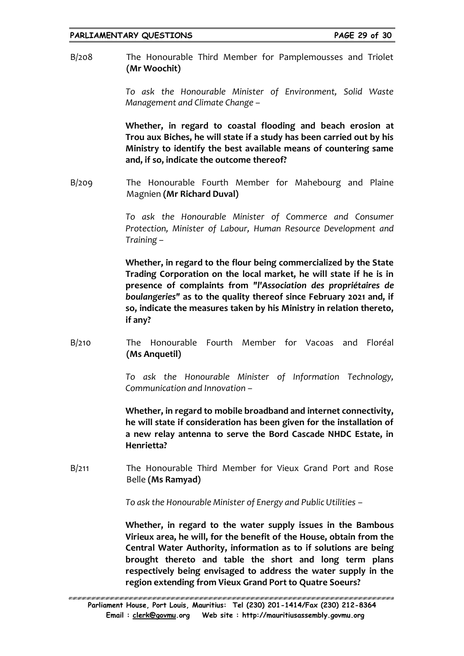B/208 The Honourable Third Member for Pamplemousses and Triolet **(Mr Woochit)**

> *To ask the Honourable Minister of Environment, Solid Waste Management and Climate Change –*

> **Whether, in regard to coastal flooding and beach erosion at Trou aux Biches, he will state if a study has been carried out by his Ministry to identify the best available means of countering same and, if so, indicate the outcome thereof?**

B/209 The Honourable Fourth Member for Mahebourg and Plaine Magnien **(Mr Richard Duval)**

> *To ask the Honourable Minister of Commerce and Consumer Protection, Minister of Labour, Human Resource Development and Training –*

> **Whether, in regard to the flour being commercialized by the State Trading Corporation on the local market, he will state if he is in presence of complaints from** *"l'Association des propriétaires de boulangeries"* **as to the quality thereof since February 2021 and, if so, indicate the measures taken by his Ministry in relation thereto, if any?**

B/210 The Honourable Fourth Member for Vacoas and Floréal **(Ms Anquetil)**

> *To ask the Honourable Minister of Information Technology, Communication and Innovation –*

> **Whether, in regard to mobile broadband and internet connectivity, he will state if consideration has been given for the installation of a new relay antenna to serve the Bord Cascade NHDC Estate, in Henrietta?**

B/211 The Honourable Third Member for Vieux Grand Port and Rose Belle **(Ms Ramyad)**

*To ask the Honourable Minister of Energy and Public Utilities –*

**Whether, in regard to the water supply issues in the Bambous Virieux area, he will, for the benefit of the House, obtain from the Central Water Authority, information as to if solutions are being brought thereto and table the short and long term plans respectively being envisaged to address the water supply in the region extending from Vieux Grand Port to Quatre Soeurs?**